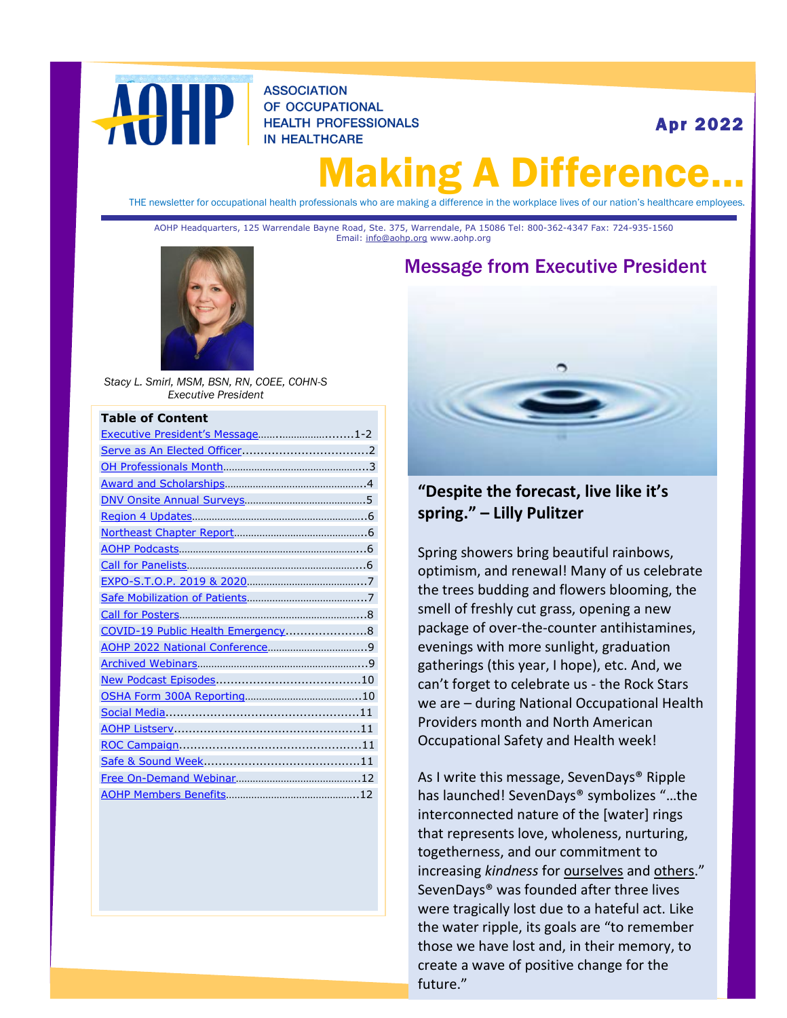

**ASSOCIATION** OF OCCUPATIONAL **HEALTH PROFESSIONALS IN HEALTHCARE** 

Apr 2022

# laking A Differen

<span id="page-0-1"></span>THE newsletter for occupational health professionals who are making a difference in the workplace lives of our nation's healthcare employees.

AOHP Headquarters, 125 Warrendale Bayne Road, Ste. 375, Warrendale, PA 15086 Tel: 800-362-4347 Fax: 724-935-1560 Email: [info@aohp.org](mailto:info@aohp.org) www.aohp.org



*Stacy L. Smirl, MSM, BSN, RN, COEE, COHN-S Executive President*

#### **Table of Content**

| Executive President's Message1-2  |  |
|-----------------------------------|--|
|                                   |  |
|                                   |  |
|                                   |  |
|                                   |  |
|                                   |  |
|                                   |  |
|                                   |  |
|                                   |  |
|                                   |  |
|                                   |  |
|                                   |  |
| COVID-19 Public Health Emergency8 |  |
|                                   |  |
|                                   |  |
|                                   |  |
|                                   |  |
|                                   |  |
|                                   |  |
|                                   |  |
|                                   |  |
|                                   |  |
|                                   |  |

# <span id="page-0-0"></span>Message from Executive President



#### **"Despite the forecast, live like it's spring." – Lilly Pulitzer**

Spring showers bring beautiful rainbows, optimism, and renewal! Many of us celebrate the trees budding and flowers blooming, the smell of freshly cut grass, opening a new package of over-the-counter antihistamines, evenings with more sunlight, graduation gatherings (this year, I hope), etc. And, we can't forget to celebrate us - the Rock Stars we are – during National Occupational Health Providers month and North American Occupational Safety and Health week!

As I write this message, SevenDays® Ripple has launched! SevenDays® symbolizes "…the interconnected nature of the [water] rings that represents love, wholeness, nurturing, togetherness, and our commitment to increasing *kindness* for ourselves and others." SevenDays® was founded after three lives were tragically lost due to a hateful act. Like the water ripple, its goals are "to remember those we have lost and, in their memory, to create a wave of positive change for the future."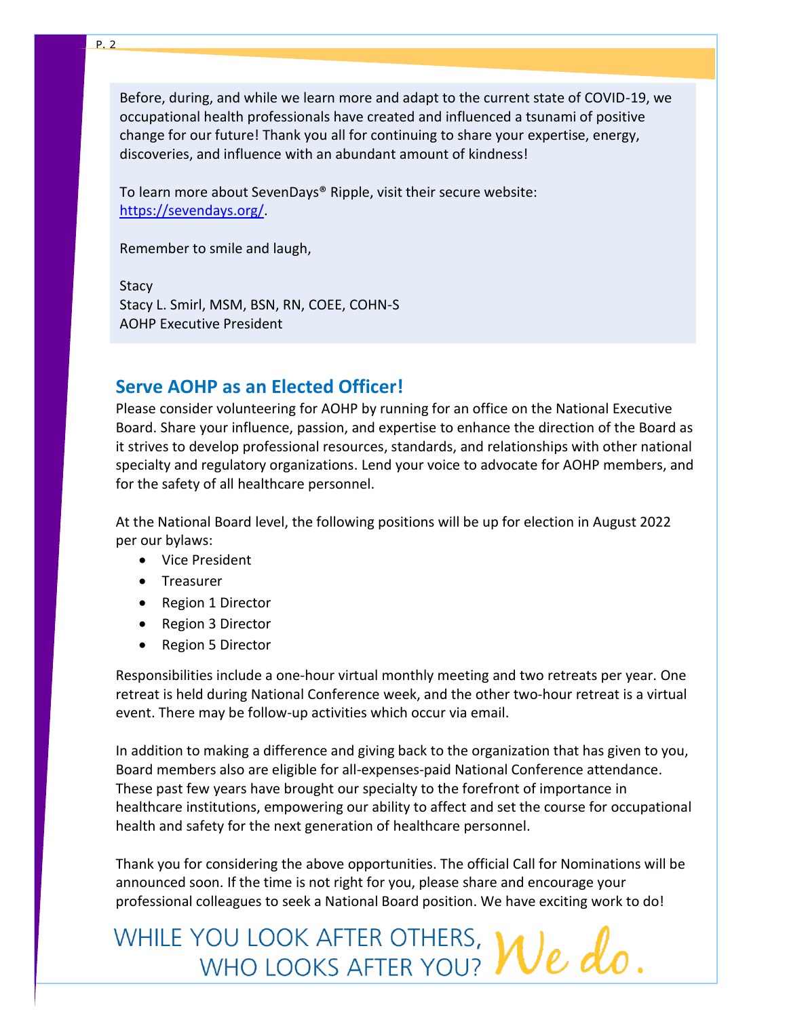Before, during, and while we learn more and adapt to the current state of COVID-19, we occupational health professionals have created and influenced a tsunami of positive change for our future! Thank you all for continuing to share your expertise, energy, discoveries, and influence with an abundant amount of kindness!

To learn more about SevenDays® Ripple, visit their secure website: [https://sevendays.org/.](https://sevendays.org/)

Remember to smile and laugh,

**Stacy** Stacy L. Smirl, MSM, BSN, RN, COEE, COHN-S AOHP Executive President

# <span id="page-1-0"></span>**Serve AOHP as an Elected Officer!**

Please consider volunteering for AOHP by running for an office on the National Executive Board. Share your influence, passion, and expertise to enhance the direction of the Board as it strives to develop professional resources, standards, and relationships with other national specialty and regulatory organizations. Lend your voice to advocate for AOHP members, and for the safety of all healthcare personnel.

At the National Board level, the following positions will be up for election in August 2022 per our bylaws:

- Vice President
- Treasurer
- Region 1 Director
- Region 3 Director
- Region 5 Director

Responsibilities include a one-hour virtual monthly meeting and two retreats per year. One retreat is held during National Conference week, and the other two-hour retreat is a virtual event. There may be follow-up activities which occur via email.

In addition to making a difference and giving back to the organization that has given to you, Board members also are eligible for all-expenses-paid National Conference attendance. These past few years have brought our specialty to the forefront of importance in healthcare institutions, empowering our ability to affect and set the course for occupational health and safety for the next generation of healthcare personnel.

Thank you for considering the above opportunities. The official Call for Nominations will be announced soon. If the time is not right for you, please share and encourage your professional colleagues to seek a National Board position. We have exciting work to do!

WHILE YOU LOOK AFTER OTHERS, We do.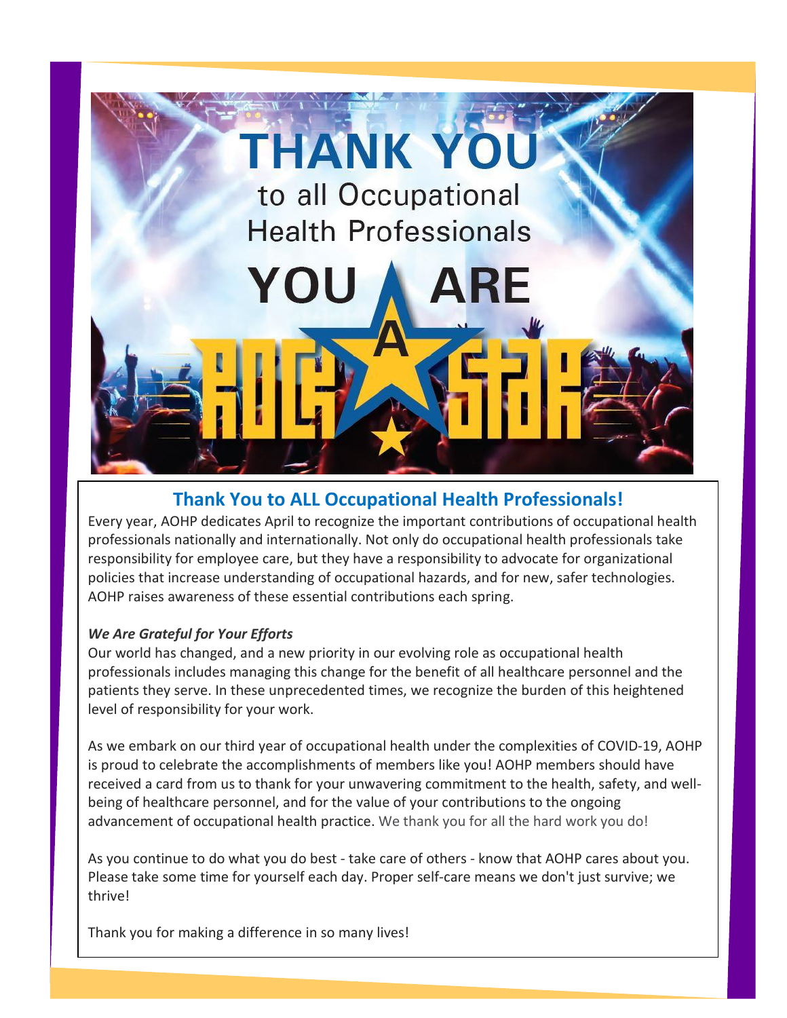# <span id="page-2-0"></span>**THANK YOU** to all Occupational

**Health Professionals** 

YOU

# **Thank You to ALL Occupational Health Professionals!**

Every year, AOHP dedicates April to recognize the important contributions of occupational health professionals nationally and internationally. Not only do occupational health professionals take responsibility for employee care, but they have a responsibility to advocate for organizational policies that increase understanding of occupational hazards, and for new, safer technologies. AOHP raises awareness of these essential contributions each spring.

#### *We Are Grateful for Your Efforts*

Our world has changed, and a new priority in our evolving role as occupational health professionals includes managing this change for the benefit of all healthcare personnel and the patients they serve. In these unprecedented times, we recognize the burden of this heightened level of responsibility for your work.

As we embark on our third year of occupational health under the complexities of COVID-19, AOHP is proud to celebrate the accomplishments of members like you! AOHP members should have received a card from us to thank for your unwavering commitment to the health, safety, and wellbeing of healthcare personnel, and for the value of your contributions to the ongoing advancement of occupational health practice. We thank you for all the hard work you do!

As you continue to do what you do best - take care of others - know that AOHP cares about you. Please take some time for yourself each day. Proper self-care means we don't just survive; we thrive!

Thank you for making a difference in so many lives!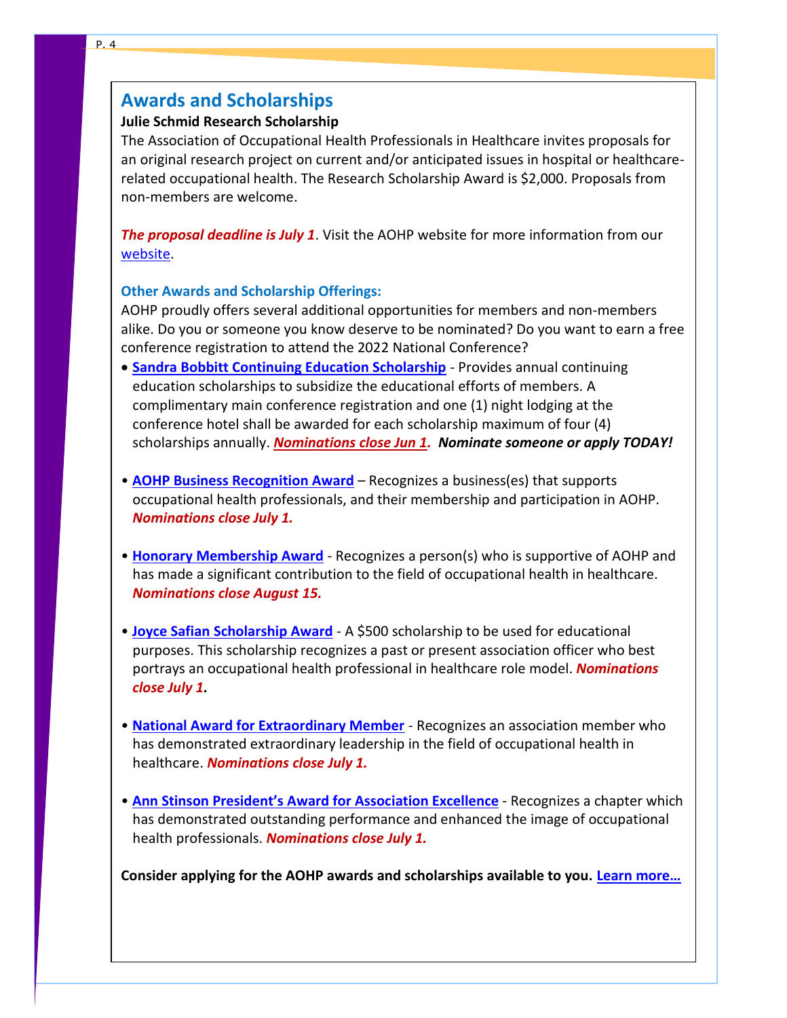# <span id="page-3-0"></span>**Awards and Scholarships**

#### **Julie Schmid Research Scholarship**

The Association of Occupational Health Professionals in Healthcare invites proposals for an original research project on current and/or anticipated issues in hospital or healthcarerelated occupational health. The Research Scholarship Award is \$2,000. Proposals from non-members are welcome.

*The proposal deadline is July 1*. Visit the AOHP website for more information from our [website.](https://aohp.org/aohp/ABOUTAOHP/AwardsScholarships/JulieSchmidScholarship.aspx)

#### **Other Awards and Scholarship Offerings:**

AOHP proudly offers several additional opportunities for members and non-members alike. Do you or someone you know deserve to be nominated? Do you want to earn a free conference registration to attend the 2022 National Conference?

- **[Sandra Bobbitt Continuing Education Scholarship](https://aohp.org/aohp/ABOUTAOHP/AwardsScholarships/SandraBobbittScholarship.aspx)** Provides annual continuing education scholarships to subsidize the educational efforts of members. A complimentary main conference registration and one (1) night lodging at the conference hotel shall be awarded for each scholarship maximum of four (4) scholarships annually. *Nominations close Jun 1. Nominate someone or apply TODAY!*
- **[AOHP Business Recognition Award](https://aohp.org/aohp/ABOUTAOHP/AwardsScholarships/AOHPBusinessAward.aspx)** Recognizes a business(es) that supports occupational health professionals, and their membership and participation in AOHP. *Nominations close July 1.*
- **[Honorary Membership Award](https://aohp.org/aohp/ABOUTAOHP/AwardsScholarships/HonoraryMembershipAward.aspx)** Recognizes a person(s) who is supportive of AOHP and has made a significant contribution to the field of occupational health in healthcare. *Nominations close August 15.*
- **Joyce Safian [Scholarship Award](https://aohp.org/aohp/ABOUTAOHP/AwardsScholarships/JoyceSafianAward.aspx)** A \$500 scholarship to be used for educational purposes. This scholarship recognizes a past or present association officer who best portrays an occupational health professional in healthcare role model. *Nominations close July 1.*
- **[National Award for Extraordinary Member](https://aohp.org/aohp/ABOUTAOHP/AwardsScholarships/ExtraordinaryMember.aspx)** Recognizes an association member who has demonstrated extraordinary leadership in the field of occupational health in healthcare. *Nominations close July 1.*
- **[Ann Stinson President's Award for Assoc](https://aohp.org/aohp/ABOUTAOHP/AwardsScholarships/AnnStinsonPresidentsAward.aspx)iation Excellence** Recognizes a chapter which has demonstrated outstanding performance and enhanced the image of occupational health professionals. *Nominations close July 1.*

**Consider applying for the AOHP awards and scholarships available to you. [Learn more…](http://www.aohp.org/aohp/ABOUTAOHP/AwardsScholarships.aspx)**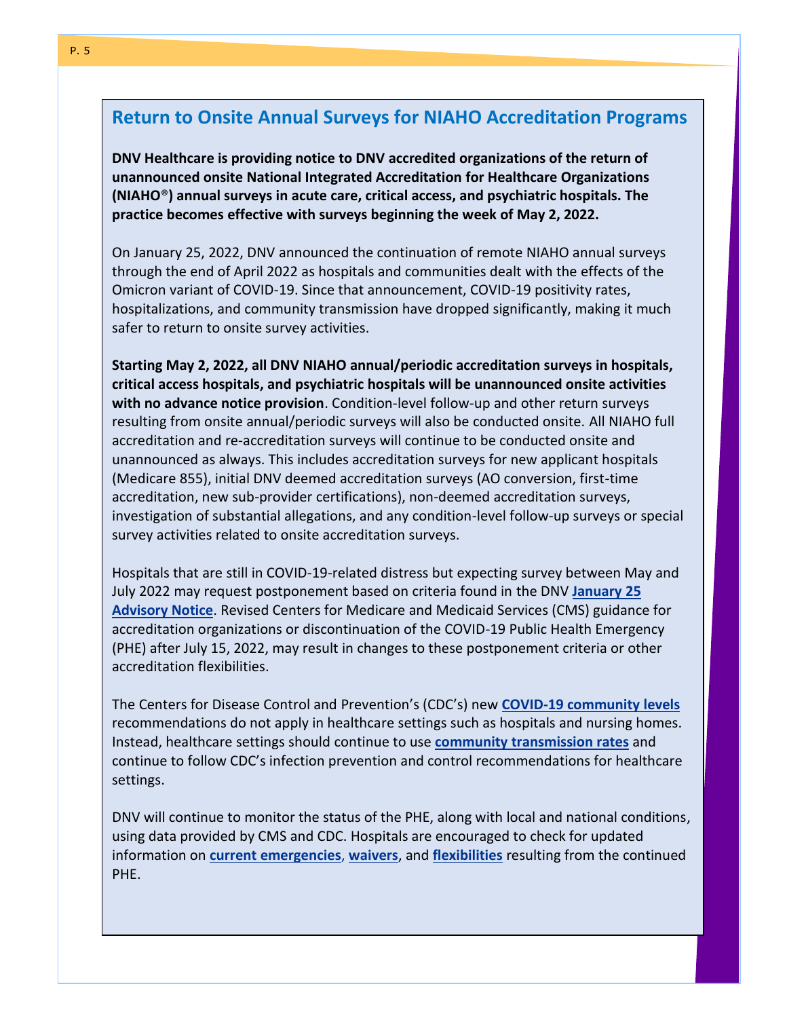# <span id="page-4-0"></span>**Return to Onsite Annual Surveys for NIAHO Accreditation Programs**

**DNV Healthcare is providing notice to DNV accredited organizations of the return of unannounced onsite National Integrated Accreditation for Healthcare Organizations (NIAHO**®**) annual surveys in acute care, critical access, and psychiatric hospitals. The practice becomes effective with surveys beginning the week of May 2, 2022.**

On January 25, 2022, DNV announced the continuation of remote NIAHO annual surveys through the end of April 2022 as hospitals and communities dealt with the effects of the Omicron variant of COVID-19. Since that announcement, COVID-19 positivity rates, hospitalizations, and community transmission have dropped significantly, making it much safer to return to onsite survey activities.

**Starting May 2, 2022, all DNV NIAHO annual/periodic accreditation surveys in hospitals, critical access hospitals, and psychiatric hospitals will be unannounced onsite activities with no advance notice provision**. Condition-level follow-up and other return surveys resulting from onsite annual/periodic surveys will also be conducted onsite. All NIAHO full accreditation and re-accreditation surveys will continue to be conducted onsite and unannounced as always. This includes accreditation surveys for new applicant hospitals (Medicare 855), initial DNV deemed accreditation surveys (AO conversion, first-time accreditation, new sub-provider certifications), non-deemed accreditation surveys, investigation of substantial allegations, and any condition-level follow-up surveys or special survey activities related to onsite accreditation surveys.

Hospitals that are still in COVID-19-related distress but expecting survey between May and July 2022 may request postponement based on criteria found in the DNV **[January](https://nam02.safelinks.protection.outlook.com/?url=https%3A%2F%2Fapp.e.dnv.com%2Fe%2Fer%3Futm_campaign%3DBAG_US_HC_Advisory%2520Notice_HC07_Return%2520to%2520Onsite%2520Annual%2520Surveys_03232022%26utm_medium%3Demail%26utm_source%3DEloqua%26s%3D861531437%26lid%3D24054%26elqTrackId%3D0AA4708591C9C0689D2C61F069B29412%26elq%3D2e1903cd84df4573b69dcda2704d87da%26elqaid%3D25519%26elqat%3D1&data=04%7C01%7Cbjhurst%40fixbones.com%7C6b3886deaabb4c64f6bc08da0ce22314%7C4dc9a50bacc946d6a563776ac9375af5%7C0%7C0%7C637836462666107732%7CUnknown%7CTWFpbGZsb3d8eyJWIjoiMC4wLjAwMDAiLCJQIjoiV2luMzIiLCJBTiI6Ik1haWwiLCJXVCI6Mn0%3D%7C3000&sdata=Nm9ziwMb4xCfGOhwJpD%2BF2WNldyd41CSv3yE1ic7TGo%3D&reserved=0) 25 [Advisory](https://nam02.safelinks.protection.outlook.com/?url=https%3A%2F%2Fapp.e.dnv.com%2Fe%2Fer%3Futm_campaign%3DBAG_US_HC_Advisory%2520Notice_HC07_Return%2520to%2520Onsite%2520Annual%2520Surveys_03232022%26utm_medium%3Demail%26utm_source%3DEloqua%26s%3D861531437%26lid%3D24054%26elqTrackId%3D0AA4708591C9C0689D2C61F069B29412%26elq%3D2e1903cd84df4573b69dcda2704d87da%26elqaid%3D25519%26elqat%3D1&data=04%7C01%7Cbjhurst%40fixbones.com%7C6b3886deaabb4c64f6bc08da0ce22314%7C4dc9a50bacc946d6a563776ac9375af5%7C0%7C0%7C637836462666107732%7CUnknown%7CTWFpbGZsb3d8eyJWIjoiMC4wLjAwMDAiLCJQIjoiV2luMzIiLCJBTiI6Ik1haWwiLCJXVCI6Mn0%3D%7C3000&sdata=Nm9ziwMb4xCfGOhwJpD%2BF2WNldyd41CSv3yE1ic7TGo%3D&reserved=0) Notice**. Revised Centers for Medicare and Medicaid Services (CMS) guidance for accreditation organizations or discontinuation of the COVID-19 Public Health Emergency (PHE) after July 15, 2022, may result in changes to these postponement criteria or other accreditation flexibilities.

The Centers for Disease Control and Prevention's (CDC's) new **COVID-19 [community](https://nam02.safelinks.protection.outlook.com/?url=https%3A%2F%2Fapp.e.dnv.com%2Fe%2Fer%3Futm_campaign%3DBAG_US_HC_Advisory%2520Notice_HC07_Return%2520to%2520Onsite%2520Annual%2520Surveys_03232022%26utm_medium%3Demail%26utm_source%3DEloqua%26s%3D861531437%26lid%3D24053%26elqTrackId%3D4D9D5640B9A880B1987EBB8A16BCFD62%26elq%3D2e1903cd84df4573b69dcda2704d87da%26elqaid%3D25519%26elqat%3D1&data=04%7C01%7Cbjhurst%40fixbones.com%7C6b3886deaabb4c64f6bc08da0ce22314%7C4dc9a50bacc946d6a563776ac9375af5%7C0%7C0%7C637836462666107732%7CUnknown%7CTWFpbGZsb3d8eyJWIjoiMC4wLjAwMDAiLCJQIjoiV2luMzIiLCJBTiI6Ik1haWwiLCJXVCI6Mn0%3D%7C3000&sdata=PH5By6e9lJZijMwsKMK6HmE6PSURJXrWNCBea5X4FZM%3D&reserved=0) levels** recommendations do not apply in healthcare settings such as hospitals and nursing homes. Instead, healthcare settings should continue to use **community [transmission](https://nam02.safelinks.protection.outlook.com/?url=https%3A%2F%2Fapp.e.dnv.com%2Fe%2Fer%3Futm_campaign%3DBAG_US_HC_Advisory%2520Notice_HC07_Return%2520to%2520Onsite%2520Annual%2520Surveys_03232022%26utm_medium%3Demail%26utm_source%3DEloqua%26s%3D861531437%26lid%3D24055%26elqTrackId%3D34D805B666F0CDE9937AD9BADD0F2EBC%26elq%3D2e1903cd84df4573b69dcda2704d87da%26elqaid%3D25519%26elqat%3D1&data=04%7C01%7Cbjhurst%40fixbones.com%7C6b3886deaabb4c64f6bc08da0ce22314%7C4dc9a50bacc946d6a563776ac9375af5%7C0%7C0%7C637836462666107732%7CUnknown%7CTWFpbGZsb3d8eyJWIjoiMC4wLjAwMDAiLCJQIjoiV2luMzIiLCJBTiI6Ik1haWwiLCJXVCI6Mn0%3D%7C3000&sdata=bZDoa%2FwgahJQeThiAVjcUjFsSkD7TXXPznAxBeVOL2Q%3D&reserved=0) rates** and continue to follow CDC's infection prevention and control recommendations for healthcare settings.

DNV will continue to monitor the status of the PHE, along with local and national conditions, using data provided by CMS and CDC. Hospitals are encouraged to check for updated information on **current [emergencies](https://nam02.safelinks.protection.outlook.com/?url=https%3A%2F%2Fapp.e.dnv.com%2Fe%2Fer%3Futm_campaign%3DBAG_US_HC_Advisory%2520Notice_HC07_Return%2520to%2520Onsite%2520Annual%2520Surveys_03232022%26utm_medium%3Demail%26utm_source%3DEloqua%26s%3D861531437%26lid%3D22815%26elqTrackId%3D609C539E89AEB1E47145887C1E827D03%26elq%3D2e1903cd84df4573b69dcda2704d87da%26elqaid%3D25519%26elqat%3D1&data=04%7C01%7Cbjhurst%40fixbones.com%7C6b3886deaabb4c64f6bc08da0ce22314%7C4dc9a50bacc946d6a563776ac9375af5%7C0%7C0%7C637836462666107732%7CUnknown%7CTWFpbGZsb3d8eyJWIjoiMC4wLjAwMDAiLCJQIjoiV2luMzIiLCJBTiI6Ik1haWwiLCJXVCI6Mn0%3D%7C3000&sdata=H4YVQhhg0gYcdUxyLPXS3tjzN7rlYp9P2MphGQR%2BK%2Bc%3D&reserved=0)**, **[waivers](https://nam02.safelinks.protection.outlook.com/?url=https%3A%2F%2Fapp.e.dnv.com%2Fe%2Fer%3Futm_campaign%3DBAG_US_HC_Advisory%2520Notice_HC07_Return%2520to%2520Onsite%2520Annual%2520Surveys_03232022%26utm_medium%3Demail%26utm_source%3DEloqua%26s%3D861531437%26lid%3D23075%26elqTrackId%3D80872C13EB2E4CF18845C00D5446A9BE%26elq%3D2e1903cd84df4573b69dcda2704d87da%26elqaid%3D25519%26elqat%3D1&data=04%7C01%7Cbjhurst%40fixbones.com%7C6b3886deaabb4c64f6bc08da0ce22314%7C4dc9a50bacc946d6a563776ac9375af5%7C0%7C0%7C637836462666107732%7CUnknown%7CTWFpbGZsb3d8eyJWIjoiMC4wLjAwMDAiLCJQIjoiV2luMzIiLCJBTiI6Ik1haWwiLCJXVCI6Mn0%3D%7C3000&sdata=l4FyVkPVU62LzKDsEQQDQsA05EIplOhJDkRSJhd%2F4CU%3D&reserved=0)**, and **[flexibilities](https://nam02.safelinks.protection.outlook.com/?url=https%3A%2F%2Fapp.e.dnv.com%2Fe%2Fer%3Futm_campaign%3DBAG_US_HC_Advisory%2520Notice_HC07_Return%2520to%2520Onsite%2520Annual%2520Surveys_03232022%26utm_medium%3Demail%26utm_source%3DEloqua%26s%3D861531437%26lid%3D11626%26elqTrackId%3D1EF4B467CC88BCD5DC16E6FB3CDC7B53%26elq%3D2e1903cd84df4573b69dcda2704d87da%26elqaid%3D25519%26elqat%3D1&data=04%7C01%7Cbjhurst%40fixbones.com%7C6b3886deaabb4c64f6bc08da0ce22314%7C4dc9a50bacc946d6a563776ac9375af5%7C0%7C0%7C637836462666263932%7CUnknown%7CTWFpbGZsb3d8eyJWIjoiMC4wLjAwMDAiLCJQIjoiV2luMzIiLCJBTiI6Ik1haWwiLCJXVCI6Mn0%3D%7C3000&sdata=HE73%2Fp2raaxvUakN1c%2BY9W5eLQyFwz6G2r7dJ7RJlxc%3D&reserved=0)** resulting from the continued PHE.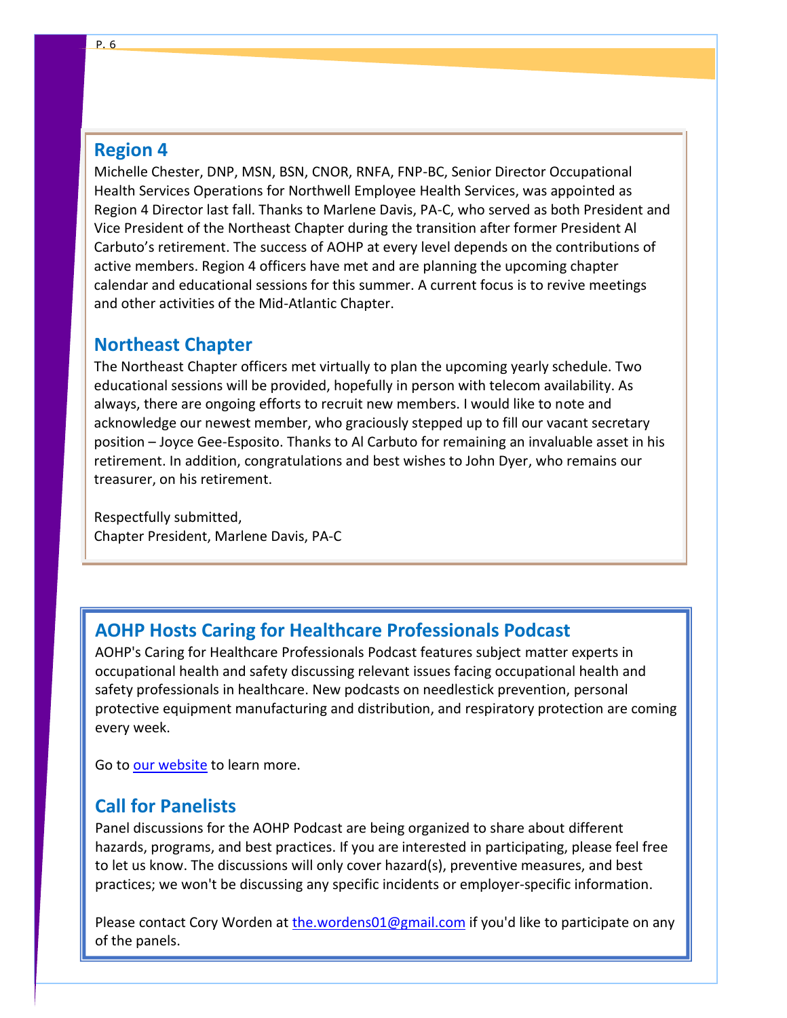#### <span id="page-5-0"></span>**Region 4**

Michelle Chester, DNP, MSN, BSN, CNOR, RNFA, FNP-BC, Senior Director Occupational Health Services Operations for Northwell Employee Health Services, was appointed as Region 4 Director last fall. Thanks to Marlene Davis, PA-C, who served as both President and Vice President of the Northeast Chapter during the transition after former President Al Carbuto's retirement. The success of AOHP at every level depends on the contributions of active members. Region 4 officers have met and are planning the upcoming chapter calendar and educational sessions for this summer. A current focus is to revive meetings and other activities of the Mid-Atlantic Chapter.

#### <span id="page-5-1"></span>**Northeast Chapter**

The Northeast Chapter officers met virtually to plan the upcoming yearly schedule. Two educational sessions will be provided, hopefully in person with telecom availability. As always, there are ongoing efforts to recruit new members. I would like to note and acknowledge our newest member, who graciously stepped up to fill our vacant secretary position – Joyce Gee-Esposito. Thanks to Al Carbuto for remaining an invaluable asset in his retirement. In addition, congratulations and best wishes to John Dyer, who remains our treasurer, on his retirement.

Respectfully submitted, Chapter President, Marlene Davis, PA-C

### <span id="page-5-2"></span>**AOHP Hosts Caring for Healthcare Professionals Podcast**

AOHP's Caring for Healthcare Professionals Podcast features subject matter experts in occupational health and safety discussing relevant issues facing occupational health and safety professionals in healthcare. New podcasts on needlestick prevention, personal protective equipment manufacturing and distribution, and respiratory protection are coming every week.

Go t[o our website](https://aohp.org/aohp/EDUCATION/Podcast.aspx) to learn more.

#### <span id="page-5-3"></span>**Call for Panelists**

Panel discussions for the AOHP Podcast are being organized to share about different hazards, programs, and best practices. If you are interested in participating, please feel free to let us know. The discussions will only cover hazard(s), preventive measures, and best practices; we won't be discussing any specific incidents or employer-specific information.

Please contact Cory Worden at [the.wordens01@gmail.com](mailto:the.wordens01@gmail.com) if you'd like to participate on any of the panels.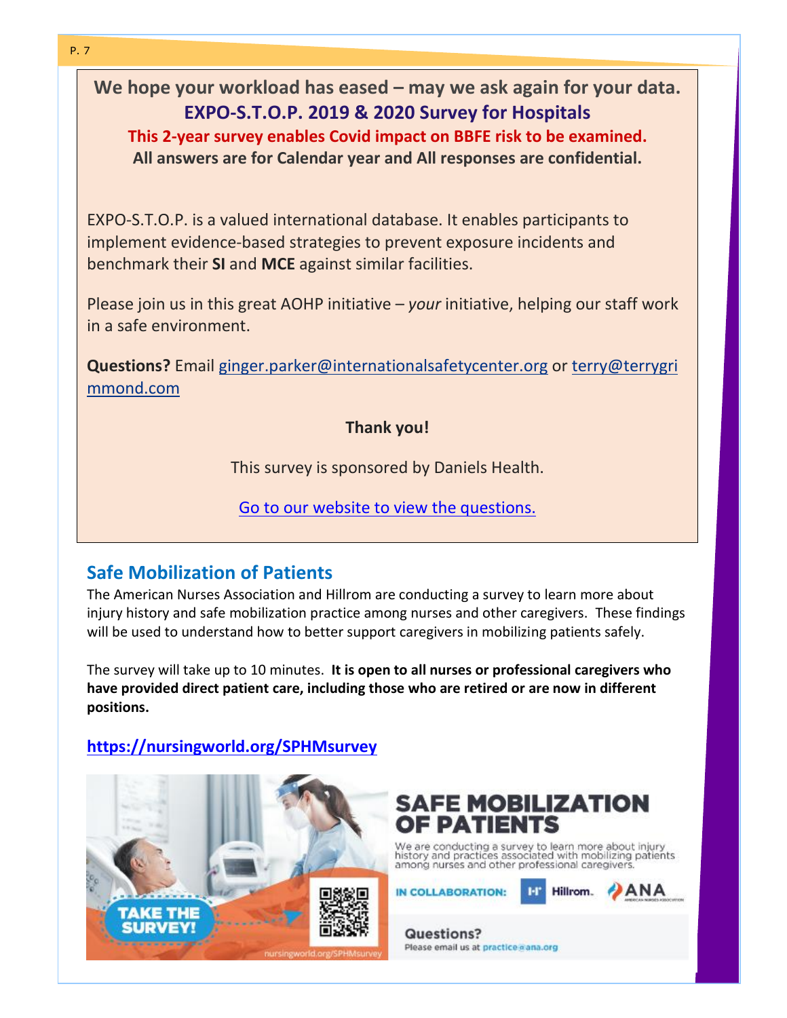<span id="page-6-0"></span>**We hope your workload has eased – may we ask again for your data. EXPO-S.T.O.P. 2019 & 2020 Survey for Hospitals This 2-year survey enables Covid impact on BBFE risk to be examined. All answers are for Calendar year and All responses are confidential.**

EXPO-S.T.O.P. is a valued international database. It enables participants to implement evidence-based strategies to prevent exposure incidents and benchmark their **SI** and **MCE** against similar facilities.

Please join us in this great AOHP initiative – *your* initiative, helping our staff work in a safe environment.

**Questions?** Email [ginger.parker@internationalsafetycenter.org](mailto:ginger.parker@internationalsafetycenter.org) or [terry@terrygri](mailto:terry@terrygrimmond.com) [mmond.com](mailto:terry@terrygrimmond.com)

**Thank you!**

This survey is sponsored by Daniels Health.

Go to our [website](https://aohp.org/aohp/EXPO-STOPSurvey.aspx) to view the questions.

# <span id="page-6-1"></span>**Safe Mobilization of Patients**

The American Nurses Association and Hillrom are conducting a survey to learn more about injury history and safe mobilization practice among nurses and other caregivers. These findings will be used to understand how to better support caregivers in mobilizing patients safely.

The survey will take up to 10 minutes. **It is open to all nurses or professional caregivers who have provided direct patient care, including those who are retired or are now in different positions.**

### **<https://nursingworld.org/SPHMsurvey>**





We are conducting a survey to learn more about injury<br>history and practices associated with mobilizing patients<br>among nurses and other professional caregivers.

**IN COLLABORATION:** 



**Questions?** Please email us at practice gana.org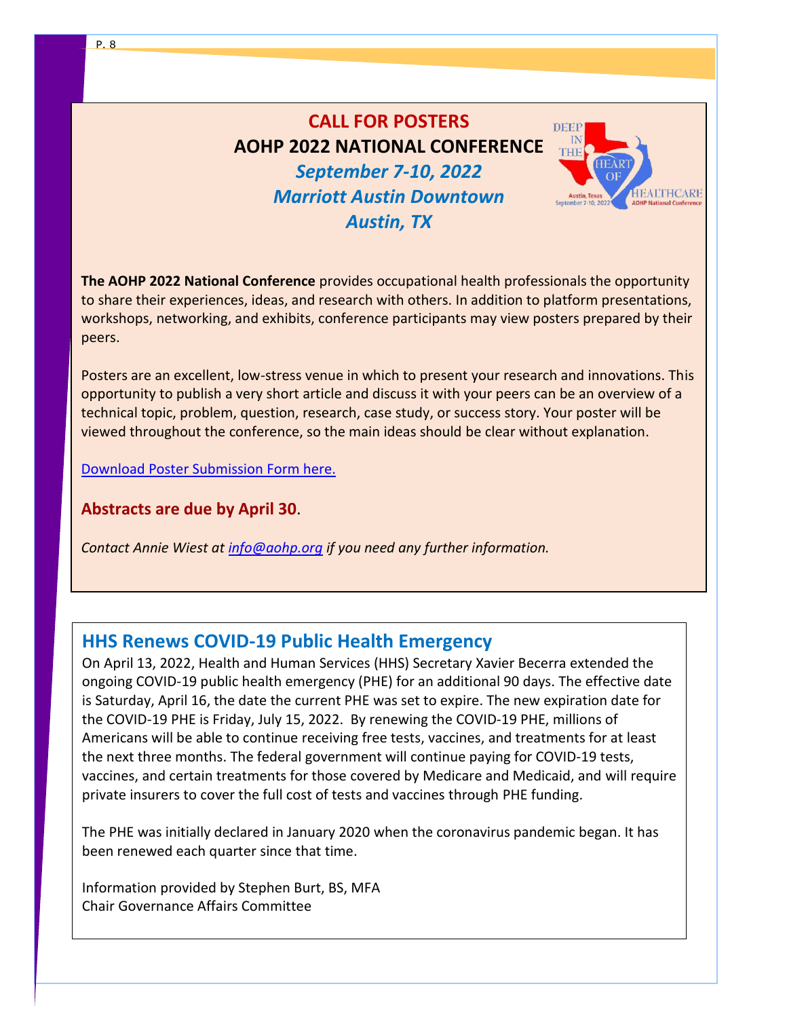# <span id="page-7-0"></span>**CALL FOR POSTERS AOHP 2022 NATIONAL CONFERENCE**



*September 7-10, 2022 Marriott Austin Downtown Austin, TX*

**The AOHP 2022 National Conference** provides occupational health professionals the opportunity to share their experiences, ideas, and research with others. In addition to platform presentations, workshops, networking, and exhibits, conference participants may view posters prepared by their peers.

Posters are an excellent, low-stress venue in which to present your research and innovations. This opportunity to publish a very short article and discuss it with your peers can be an overview of a technical topic, problem, question, research, case study, or success story. Your poster will be viewed throughout the conference, so the main ideas should be clear without explanation.

[Download Poster Submission Form here.](https://aohp.org/aohp/Portals/0/Documents/Conf2022/2022CALLFORPOSTERSsubmission.doc)

**Abstracts are due by April 30**.

*Contact Annie Wiest at [info@aohp.org](mailto:info@aohp.org) if you need any further information.*

# <span id="page-7-1"></span>**HHS Renews COVID-19 Public Health Emergency**

On April 13, 2022, Health and Human Services (HHS) Secretary Xavier Becerra extended the ongoing COVID-19 public health emergency (PHE) for an additional 90 days. The effective date is Saturday, April 16, the date the current PHE was set to expire. The new expiration date for the COVID-19 PHE is Friday, July 15, 2022. By renewing the COVID-19 PHE, millions of Americans will be able to continue receiving free tests, vaccines, and treatments for at least the next three months. The federal government will continue paying for COVID-19 tests, vaccines, and certain treatments for those covered by Medicare and Medicaid, and will require private insurers to cover the full cost of tests and vaccines through PHE funding.

The PHE was initially declared in January 2020 when the coronavirus pandemic began. It has been renewed each quarter since that time.

Information provided by Stephen Burt, BS, MFA Chair Governance Affairs Committee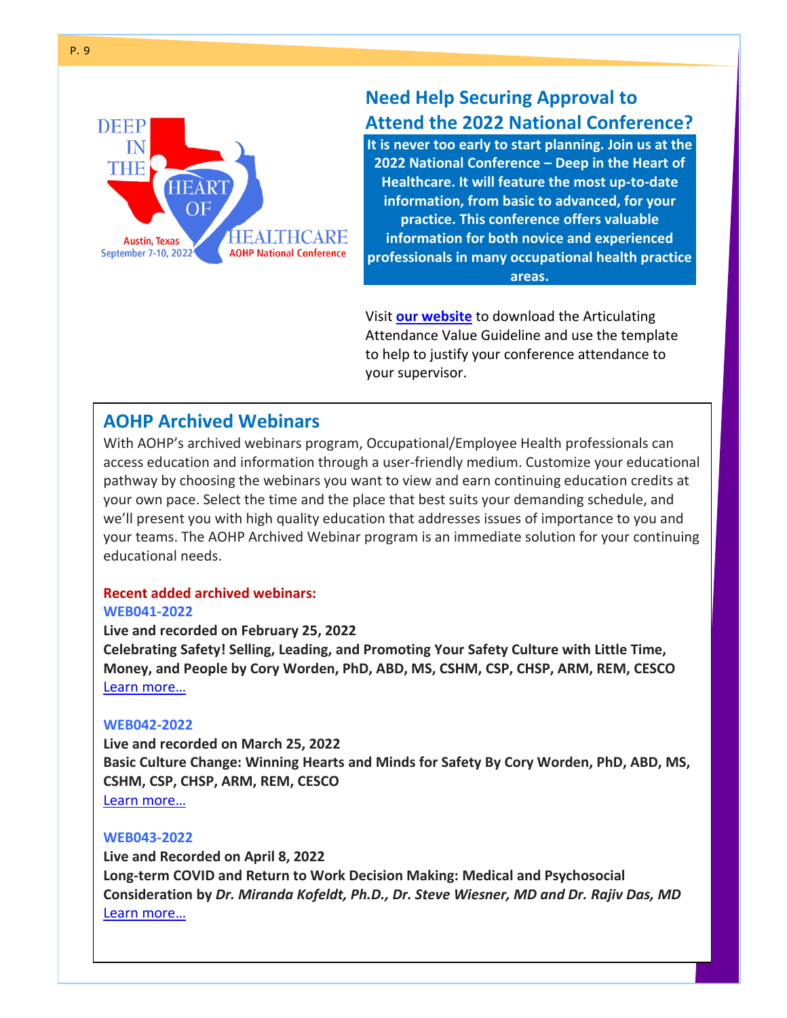

# <span id="page-8-0"></span>**Need Help Securing Approval to Attend the 2022 National Conference?**

**It is never too early to start planning. Join us at the 2022 National Conference – Deep in the Heart of Healthcare. It will feature the most up-to-date information, from basic to advanced, for your practice. This conference offers valuable information for both novice and experienced professionals in many occupational health practice areas.** 

Visit **our [website](http://www.aohp.org/aohp/EDUCATION/NationalConference.aspx)** to download the Articulating Attendance Value Guideline and use the template to help to justify your conference attendance to your supervisor.

# <span id="page-8-1"></span>**AOHP Archived Webinars**

With AOHP's archived webinars program, Occupational/Employee Health professionals can access education and information through a user-friendly medium. Customize your educational pathway by choosing the webinars you want to view and earn continuing education credits at your own pace. Select the time and the place that best suits your demanding schedule, and we'll present you with high quality education that addresses issues of importance to you and your teams. The AOHP Archived Webinar program is an immediate solution for your continuing educational needs.

# **Recent added archived webinars:**

#### **WEB041-2022**

**Live and recorded on February 25, 2022**

**Celebrating Safety! Selling, Leading, and Promoting Your Safety Culture with Little Time, Money, and People by Cory Worden, PhD, ABD, MS, CSHM, CSP, CHSP, ARM, REM, CESCO** Learn [more…](https://aohp.org/aohp/EDUCATION/OnlineEducationPrograms/ArchivedWebinars/tabid/247/CategoryID/8/ProductID/69/Default.aspx)

#### **WEB042-2022**

**Live and recorded on March 25, 2022 Basic Culture Change: Winning Hearts and Minds for Safety By Cory Worden, PhD, ABD, MS, CSHM, CSP, CHSP, ARM, REM, CESCO** [Learn more…](https://aohp.org/aohp/EDUCATION/OnlineEducationPrograms/ArchivedWebinars/tabid/247/CategoryID/8/ProductID/68/Default.aspx)

#### **WEB043-2022**

**Live and Recorded on April 8, 2022 Long-term COVID and Return to Work Decision Making: Medical and Psychosocial Consideration by** *Dr. Miranda Kofeldt, Ph.D., Dr. Steve Wiesner, MD and Dr. Rajiv Das, MD* [Learn more…](https://aohp.org/aohp/EDUCATION/OnlineEducationPrograms/ArchivedWebinars/tabid/247/CategoryID/8/ProductID/70/Default.aspx)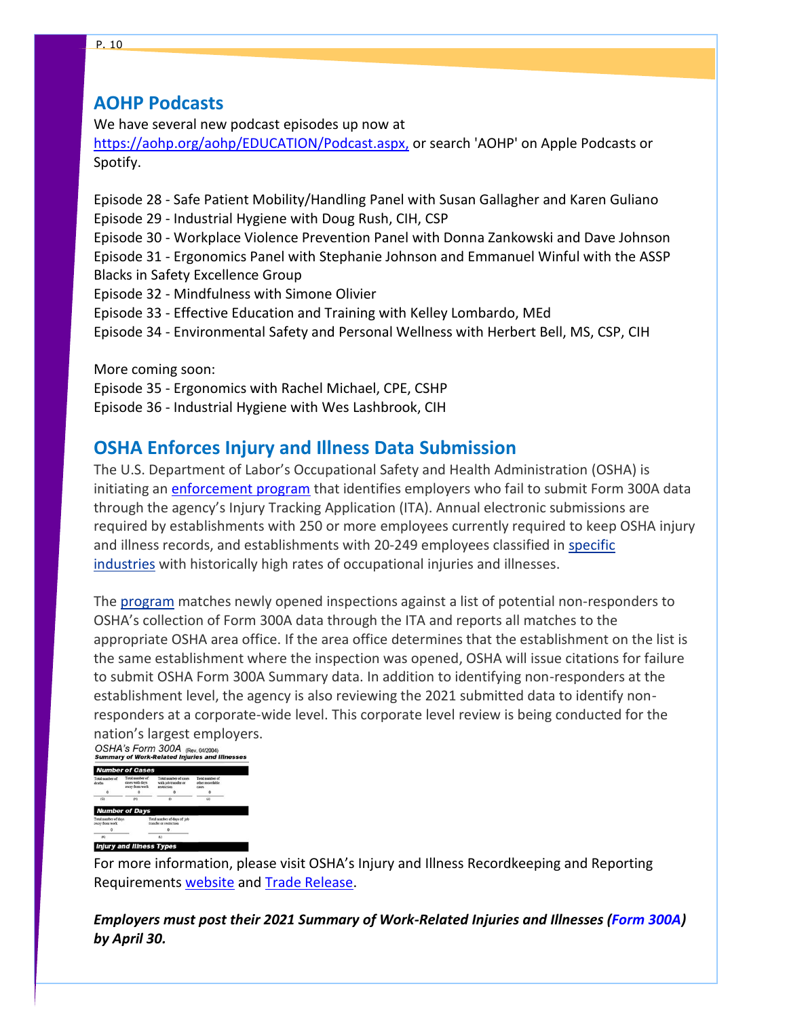### <span id="page-9-0"></span>**AOHP Podcasts**

We have several new podcast episodes up now at

[https://aohp.org/aohp/EDUCATION/Podcast.aspx,](https://aohp.org/aohp/EDUCATION/Podcast.aspx) or search 'AOHP' on Apple Podcasts or Spotify.

Episode 28 - Safe Patient Mobility/Handling Panel with Susan Gallagher and Karen Guliano Episode 29 - Industrial Hygiene with Doug Rush, CIH, CSP Episode 30 - Workplace Violence Prevention Panel with Donna Zankowski and Dave Johnson Episode 31 - Ergonomics Panel with Stephanie Johnson and Emmanuel Winful with the ASSP Blacks in Safety Excellence Group Episode 32 - Mindfulness with Simone Olivier Episode 33 - Effective Education and Training with Kelley Lombardo, MEd Episode 34 - Environmental Safety and Personal Wellness with Herbert Bell, MS, CSP, CIH

More coming soon: Episode 35 - Ergonomics with Rachel Michael, CPE, CSHP Episode 36 - Industrial Hygiene with Wes Lashbrook, CIH

# <span id="page-9-1"></span>**OSHA Enforces Injury and Illness Data Submission**

The U.S. Department of Labor's Occupational Safety and Health Administration (OSHA) is initiating an [enforcement program](https://nam02.safelinks.protection.outlook.com/?url=https%3A%2F%2Fwww.osha.gov%2Fmemos%2F2022-04-04%2Fita-non-responder-enforcement-computer-program&data=04%7C01%7Cbjhurst%40fixbones.com%7Cf40da7610f4c46f0121008da1743f8ce%7C4dc9a50bacc946d6a563776ac9375af5%7C0%7C0%7C637847877974073816%7CUnknown%7CTWFpbGZsb3d8eyJWIjoiMC4wLjAwMDAiLCJQIjoiV2luMzIiLCJBTiI6Ik1haWwiLCJXVCI6Mn0%3D%7C3000&sdata=xzcjFK2szTbbsG8BCXPQQU0ZfFMSzM8qYdM%2FG4YeENY%3D&reserved=0) that identifies employers who fail to submit Form 300A data through the agency's Injury Tracking Application (ITA). Annual electronic submissions are required by establishments with 250 or more employees currently required to keep OSHA injury and illness records, and establishments with 20-249 employees classified in [specific](https://nam02.safelinks.protection.outlook.com/?url=https%3A%2F%2Fwww.osha.gov%2Frecordkeeping%2Fnaics-codes-electronic-submission&data=04%7C01%7Cbjhurst%40fixbones.com%7Cf40da7610f4c46f0121008da1743f8ce%7C4dc9a50bacc946d6a563776ac9375af5%7C0%7C0%7C637847877974073816%7CUnknown%7CTWFpbGZsb3d8eyJWIjoiMC4wLjAwMDAiLCJQIjoiV2luMzIiLCJBTiI6Ik1haWwiLCJXVCI6Mn0%3D%7C3000&sdata=eZLvu18jV9Qd%2BEI3rOJqiAtRdhTKbiGkl7spLHgHrxY%3D&reserved=0)  [industries](https://nam02.safelinks.protection.outlook.com/?url=https%3A%2F%2Fwww.osha.gov%2Frecordkeeping%2Fnaics-codes-electronic-submission&data=04%7C01%7Cbjhurst%40fixbones.com%7Cf40da7610f4c46f0121008da1743f8ce%7C4dc9a50bacc946d6a563776ac9375af5%7C0%7C0%7C637847877974073816%7CUnknown%7CTWFpbGZsb3d8eyJWIjoiMC4wLjAwMDAiLCJQIjoiV2luMzIiLCJBTiI6Ik1haWwiLCJXVCI6Mn0%3D%7C3000&sdata=eZLvu18jV9Qd%2BEI3rOJqiAtRdhTKbiGkl7spLHgHrxY%3D&reserved=0) with historically high rates of occupational injuries and illnesses.

The [program](https://nam02.safelinks.protection.outlook.com/?url=https%3A%2F%2Fwww.osha.gov%2Fmemos%2F2022-04-04%2Fita-non-responder-enforcement-computer-program&data=04%7C01%7Cbjhurst%40fixbones.com%7Cf40da7610f4c46f0121008da1743f8ce%7C4dc9a50bacc946d6a563776ac9375af5%7C0%7C0%7C637847877974073816%7CUnknown%7CTWFpbGZsb3d8eyJWIjoiMC4wLjAwMDAiLCJQIjoiV2luMzIiLCJBTiI6Ik1haWwiLCJXVCI6Mn0%3D%7C3000&sdata=xzcjFK2szTbbsG8BCXPQQU0ZfFMSzM8qYdM%2FG4YeENY%3D&reserved=0) matches newly opened inspections against a list of potential non-responders to OSHA's collection of Form 300A data through the ITA and reports all matches to the appropriate OSHA area office. If the area office determines that the establishment on the list is the same establishment where the inspection was opened, OSHA will issue citations for failure to submit OSHA Form 300A Summary data. In addition to identifying non-responders at the establishment level, the agency is also reviewing the 2021 submitted data to identify nonresponders at a corporate-wide level. This corporate level review is being conducted for the nation's largest employers.<br>OSHA's Form 300A (Rev. 042004)<br>summary of Work-Related Injuries and Illnesses



For more information, please visit OSHA's Injury and Illness Recordkeeping and Reporting Requirements [website](https://nam02.safelinks.protection.outlook.com/?url=https%3A%2F%2Fwww.osha.gov%2Frecordkeeping&data=04%7C01%7Cbjhurst%40fixbones.com%7Cf40da7610f4c46f0121008da1743f8ce%7C4dc9a50bacc946d6a563776ac9375af5%7C0%7C0%7C637847877974073816%7CUnknown%7CTWFpbGZsb3d8eyJWIjoiMC4wLjAwMDAiLCJQIjoiV2luMzIiLCJBTiI6Ik1haWwiLCJXVCI6Mn0%3D%7C3000&sdata=JIlAHYzL4IEt4mTiioojyGH4BWZp8nKSDJgNzBKeRsc%3D&reserved=0) and [Trade Release.](https://nam02.safelinks.protection.outlook.com/?url=https%3A%2F%2Fwww.osha.gov%2Fnews%2Fnewsreleases%2Ftrade%2F04052022&data=04%7C01%7Cbjhurst%40fixbones.com%7Cf40da7610f4c46f0121008da1743f8ce%7C4dc9a50bacc946d6a563776ac9375af5%7C0%7C0%7C637847877974073816%7CUnknown%7CTWFpbGZsb3d8eyJWIjoiMC4wLjAwMDAiLCJQIjoiV2luMzIiLCJBTiI6Ik1haWwiLCJXVCI6Mn0%3D%7C3000&sdata=Lnu3aaQt3tGtvJXZksB9Ut%2FyWlUsrh0HeIjsZ1OpDFI%3D&reserved=0)

*Employers must post their 2021 Summary of Work-Related Injuries and Illnesses [\(Form 300A\)](https://lnks.gd/l/eyJhbGciOiJIUzI1NiJ9.eyJidWxsZXRpbl9saW5rX2lkIjoxMTUsInVyaSI6ImJwMjpjbGljayIsImJ1bGxldGluX2lkIjoiMjAyMjAzMTUuNTQ5NDU0MDEiLCJ1cmwiOiJodHRwczovL3d3dy5vc2hhLmdvdi9yZWNvcmRrZWVwaW5nL2Zvcm1zIn0.wmcHXdj1zlfUek8KotNAojgH3VGUrmFzDuw_gJbuFFs/s/703595153/br/128136137978-l) by April 30.*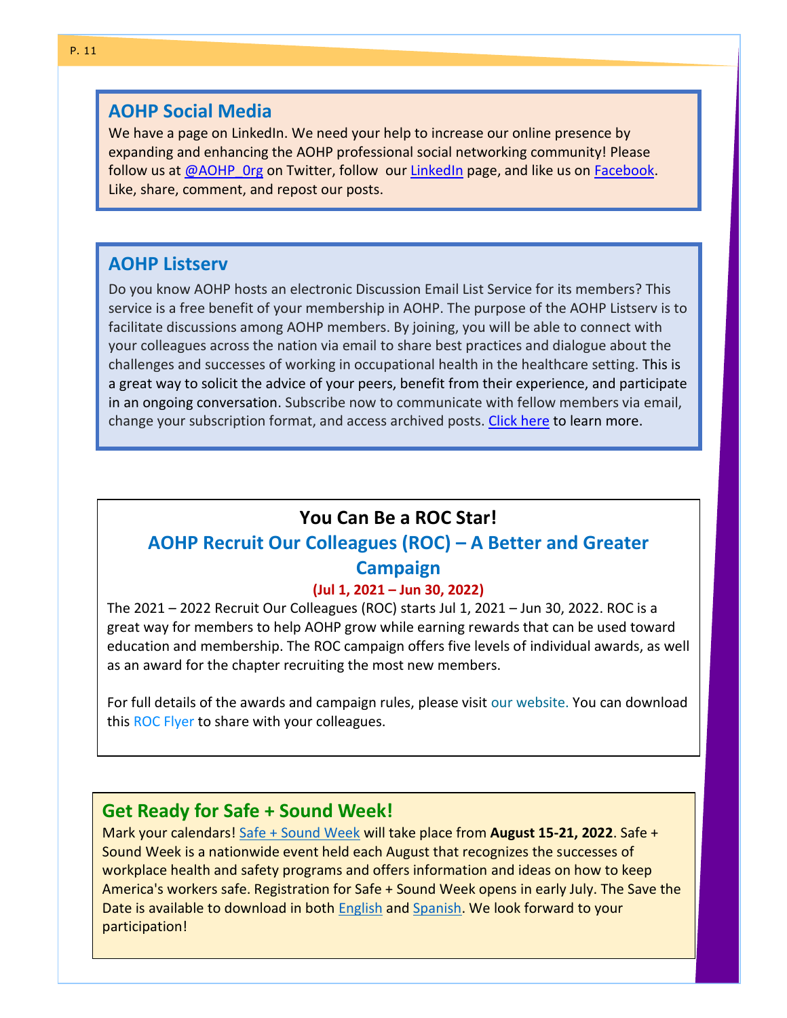#### <span id="page-10-0"></span>**AOHP Social Media**

We have a page on LinkedIn. We need your help to increase our online presence by expanding and enhancing the AOHP professional social networking community! Please follow us a[t @AOHP\\_0rg](https://twitter.com/AOHP_Org/following) on Twitter, follow our [LinkedIn](https://www.linkedin.com/company/73805088) page, and like us on [Facebook.](https://www.facebook.com/AOHP-Association-of-Occupational-Health-Professional-in-Healthcare-128269079138) Like, share, comment, and repost our posts.

### <span id="page-10-1"></span>**AOHP Listserv**

Do you know AOHP hosts an electronic Discussion Email List Service for its members? This service is a free benefit of your membership in AOHP. The purpose of the AOHP Listserv is to facilitate discussions among AOHP members. By joining, you will be able to connect with your colleagues across the nation via email to share best practices and dialogue about the challenges and successes of working in occupational health in the healthcare setting. This is a great way to solicit the advice of your peers, benefit from their experience, and participate in an ongoing conversation. Subscribe now to communicate with fellow members via email, change your subscription format, and access archived posts. [Click here](https://aohp.org/aohp/MEMBERSERVICES/Listserv.aspx) to learn more.

# **You Can Be a ROC Star!**

# <span id="page-10-2"></span>**AOHP Recruit Our Colleagues (ROC) – A Better and Greater Campaign**

#### **(Jul 1, 2021 – Jun 30, 2022)**

The 2021 – 2022 Recruit Our Colleagues (ROC) starts Jul 1, 2021 – Jun 30, 2022. ROC is a great way for members to help AOHP grow while earning rewards that can be used toward education and membership. The ROC campaign offers five levels of individual awards, as well as an award for the chapter recruiting the most new members.

For full details of the awards and campaign rules, please visit our website. You can download this ROC Flyer to share with your colleagues.

#### <span id="page-10-3"></span>**Get Ready for Safe + Sound Week!**

Mark your calendars! [Safe + Sound Week](https://lnks.gd/l/eyJhbGciOiJIUzI1NiJ9.eyJidWxsZXRpbl9saW5rX2lkIjoxMDIsInVyaSI6ImJwMjpjbGljayIsImJ1bGxldGluX2lkIjoiMjAyMjAzMjIuNTUyODE4NDEiLCJ1cmwiOiJodHRwczovL3d3dy5vc2hhLmdvdi9zYWZlYW5kc291bmR3ZWVrIn0.sFTdqyfmXp3tPAFUKVCM_fTomaZLdsCwX72EDDA-l1c/s/424905875/br/128476964444-l) will take place from **August 15-21, 2022**. Safe + Sound Week is a nationwide event held each August that recognizes the successes of workplace health and safety programs and offers information and ideas on how to keep America's workers safe. Registration for Safe + Sound Week opens in early July. The Save the Date is available to download in both [English](https://lnks.gd/l/eyJhbGciOiJIUzI1NiJ9.eyJidWxsZXRpbl9saW5rX2lkIjoxMDMsInVyaSI6ImJwMjpjbGljayIsImJ1bGxldGluX2lkIjoiMjAyMjAzMjIuNTUyODE4NDEiLCJ1cmwiOiJodHRwczovL3d3dy5vc2hhLmdvdi9zaXRlcy9kZWZhdWx0L2ZpbGVzL0dyYXBoaWNzX1NhdmVfdGhlX2RhdGUuemlwIn0.mwtpBfotIPvftia_HF2aUQ8OOYFPbjRWxb4rLzCKfW0/s/424905875/br/128476964444-l) and [Spanish.](https://lnks.gd/l/eyJhbGciOiJIUzI1NiJ9.eyJidWxsZXRpbl9saW5rX2lkIjoxMDQsInVyaSI6ImJwMjpjbGljayIsImJ1bGxldGluX2lkIjoiMjAyMjAzMjIuNTUyODE4NDEiLCJ1cmwiOiJodHRwczovL3d3dy5vc2hhLmdvdi9zaXRlcy9kZWZhdWx0L2ZpbGVzL0dyYXBoaWNzX1NhdmVfVGhlX0RhdGVfU3BhbmlzaC56aXAifQ.NJJVf9BBNjRD36757cfl0Tq8jG6zMz9vV1MlfjE03no/s/424905875/br/128476964444-l) We look forward to your participation!